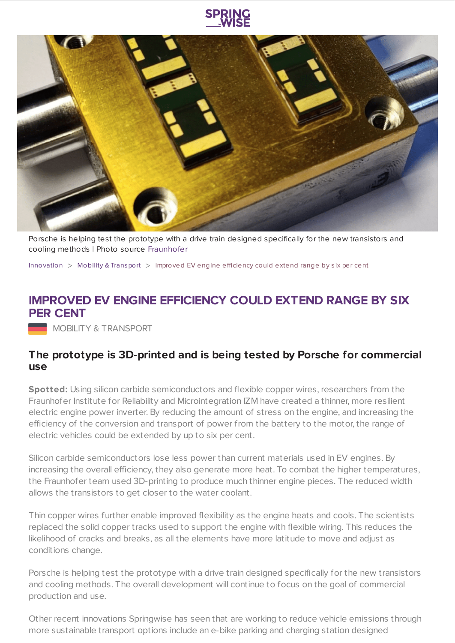



Porsche is helping test the prototype with a drive train designed specifically for the new transistors and cooling methods | Photo source [Fraunhofer](https://www.izm.fraunhofer.de/en.html)

[Innovation](https://www.springwise.com/search?type=innovation)  $>$  Mobility & [Transport](https://www.springwise.com/search?type=innovation§or=mobility-and-transport)  $>$  Improved EV engine efficiency could extend range by six per cent

## **IMPROVED EV ENGINE EFFICIENCY COULD EXTEND RANGE BY SIX PER CENT**

MOBILITY & TRANSPORT

## **The prototype is 3D-printed and is being tested by Porsche for commercial use**

**Spotted:** Using silicon carbide semiconductors and flexible copper wires, researchers from the Fraunhofer Institute for Reliability and Microintegration IZM have created a thinner, more resilient electric engine power inverter. By reducing the amount of stress on the engine, and increasing the efficiency of the conversion and transport of power from the battery to the motor, the range of electric vehicles could be extended by up to six per cent.

Silicon carbide semiconductors lose less power than current materials used in EV engines. By increasing the overall efficiency, they also generate more heat. To combat the higher temperatures, the Fraunhofer team used 3D-printing to produce much thinner engine pieces. The reduced width allows the transistors to get closer to the water coolant.

Thin copper wires further enable improved flexibility as the engine heats and cools. The scientists replaced the solid copper tracks used to support the engine with flexible wiring. This reduces the likelihood of cracks and breaks, as all the elements have more latitude to move and adjust as conditions change.

Porsche is helping test the prototype with a drive train designed specifically for the new transistors and cooling methods. The overall development will continue to focus on the goal of commercial production and use.

Other recent innovations Springwise has seen that are working to reduce vehicle emissions through more sustainable transport options include an e-bike parking and charging station designed